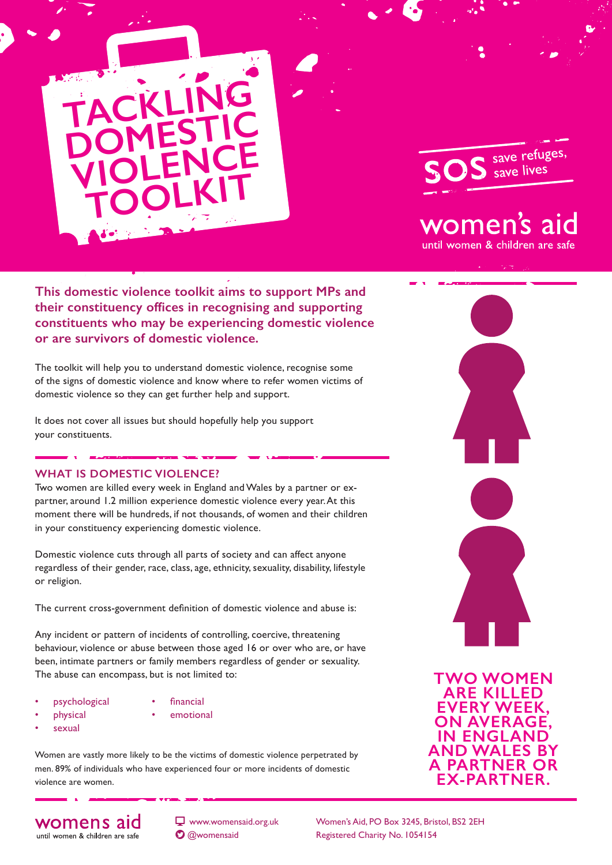



# women's aid

until women & children are safe

**This domestic violence toolkit aims to support MPs and their constituency offices in recognising and supporting constituents who may be experiencing domestic violence or are survivors of domestic violence.**

The toolkit will help you to understand domestic violence, recognise some of the signs of domestic violence and know where to refer women victims of domestic violence so they can get further help and support.

It does not cover all issues but should hopefully help you support your constituents.

## **WHAT IS DOMESTIC VIOLENCE?**

Two women are killed every week in England and Wales by a partner or expartner, around 1.2 million experience domestic violence every year. At this moment there will be hundreds, if not thousands, of women and their children in your constituency experiencing domestic violence.

Domestic violence cuts through all parts of society and can affect anyone regardless of their gender, race, class, age, ethnicity, sexuality, disability, lifestyle or religion.

The current cross-government definition of domestic violence and abuse is:

Any incident or pattern of incidents of controlling, coercive, threatening behaviour, violence or abuse between those aged 16 or over who are, or have been, intimate partners or family members regardless of gender or sexuality. The abuse can encompass, but is not limited to:

- psychological
- financial
- physical
- 
- emotional
- sexual
- 

Women are vastly more likely to be the victims of domestic violence perpetrated by men. 89% of individuals who have experienced four or more incidents of domestic violence are women.

womens aid until women & children are safe

 $\Box$  www.womensaid.org.uk **O** @womensaid

Women's Aid, PO Box 3245, Bristol, BS2 2EH Registered Charity No. 1054154